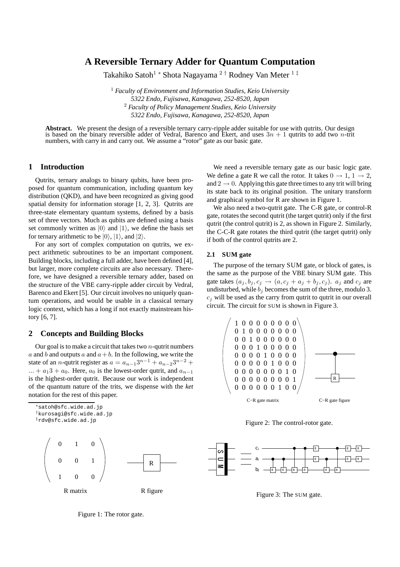# **A Reversible Ternary Adder for Quantum Computation**

Takahiko Satoh<sup>1</sup> \* Shota Nagayama <sup>2 †</sup> Rodney Van Meter <sup>1 ‡</sup>

 *Faculty of Environment and Information Studies, Keio University Endo, Fujisawa, Kanagawa, 252-8520, Japan Faculty of Policy Management Studies, Keio University Endo, Fujisawa, Kanagawa, 252-8520, Japan*

Abstract. We present the design of a reversible ternary carry-ripple adder suitable for use with qutrits. Our design is based on the binary reversible adder of Vedral, Barenco and Ekert, and uses  $3n + 1$  qutrits to add two *n*-trit numbers, with carry in and carry out. We assume a "rotor" gate as our basic gate.

## **1 Introduction**

Qutrits, ternary analogs to binary qubits, have been proposed for quantum communication, including quantum key distribution (QKD), and have been recognized as giving good spatial density for information storage [1, 2, 3]. Qutrits are three-state elementary quantum systems, defined by a basis set of three vectors. Much as qubits are defined using a basis set commonly written as  $|0\rangle$  and  $|1\rangle$ , we define the basis set for ternary arithmetic to be  $|0\rangle$ ,  $|1\rangle$ , and  $|2\rangle$ .

For any sort of complex computation on qutrits, we expect arithmetic subroutines to be an important component. Building blocks, including a full adder, have been defined [4], but larger, more complete circuits are also necessary. Therefore, we have designed a reversible ternary adder, based on the structure of the VBE carry-ripple adder circuit by Vedral, Barenco and Ekert [5]. Our circuit involves no uniquely quantum operations, and would be usable in a classical ternary logic context, which has a long if not exactly mainstream history [6, 7].

### **2 Concepts and Building Blocks**

Our goal is to make a circuit that takes two  $n$ -qutrit numbers a and b and outputs a and  $a + b$ . In the following, we write the state of an *n*-qutrit register as  $a = a_{n-1}3^{n-1} + a_{n-2}3^{n-2} +$  $... + a_1 3 + a_0$ . Here,  $a_0$  is the lowest-order qutrit, and  $a_{n-1}$ is the highest-order qutrit. Because our work is independent of the quantum nature of the trits, we dispense with the *ket* notation for the rest of this paper.





We need a reversible ternary gate as our basic logic gate. We define a gate R we call the rotor. It takes  $0 \rightarrow 1, 1 \rightarrow 2$ , and  $2 \rightarrow 0$ . Applying this gate three times to any trit will bring its state back to its original position. The unitary transform and graphical symbol for R are shown in Figure 1.

We also need a two-qutrit gate. The C-R gate, or control-R gate, rotates the second qutrit (the target qutrit) only if the first qutrit (the control qutrit) is 2, as shown in Figure 2. Similarly, the C-C-R gate rotates the third qutrit (the target qutrit) only if both of the control qutrits are 2.

#### **2.1 SUM gate**

The purpose of the ternary SUM gate, or block of gates, is the same as the purpose of the VBE binary SUM gate. This gate takes  $(a_j, b_j, c_j \rightarrow (a, c_j + a_j + b_j, c_j)$ .  $a_j$  and  $c_j$  are undisturbed, while  $b_j$  becomes the sum of the three, modulo 3.  $c_i$  will be used as the carry from qutrit to qutrit in our overall circuit. The circuit for SUM is shown in Figure 3.



Figure 2: The control-rotor gate.



Figure 3: The SUM gate.